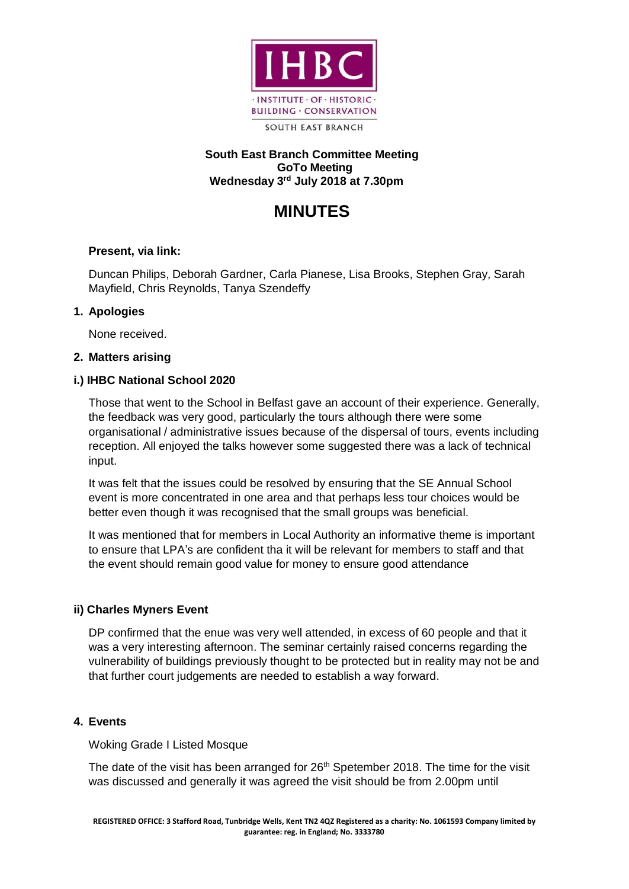

### **South East Branch Committee Meeting GoTo Meeting Wednesday 3 rd July 2018 at 7.30pm**

# **MINUTES**

## **Present, via link:**

Duncan Philips, Deborah Gardner, Carla Pianese, Lisa Brooks, Stephen Gray, Sarah Mayfield, Chris Reynolds, Tanya Szendeffy

### **1. Apologies**

None received.

### **2. Matters arising**

### **i.) IHBC National School 2020**

Those that went to the School in Belfast gave an account of their experience. Generally, the feedback was very good, particularly the tours although there were some organisational / administrative issues because of the dispersal of tours, events including reception. All enjoyed the talks however some suggested there was a lack of technical input.

It was felt that the issues could be resolved by ensuring that the SE Annual School event is more concentrated in one area and that perhaps less tour choices would be better even though it was recognised that the small groups was beneficial.

It was mentioned that for members in Local Authority an informative theme is important to ensure that LPA's are confident tha it will be relevant for members to staff and that the event should remain good value for money to ensure good attendance

### **ii) Charles Myners Event**

DP confirmed that the enue was very well attended, in excess of 60 people and that it was a very interesting afternoon. The seminar certainly raised concerns regarding the vulnerability of buildings previously thought to be protected but in reality may not be and that further court judgements are needed to establish a way forward.

### **4. Events**

Woking Grade I Listed Mosque

The date of the visit has been arranged for 26<sup>th</sup> Spetember 2018. The time for the visit was discussed and generally it was agreed the visit should be from 2.00pm until